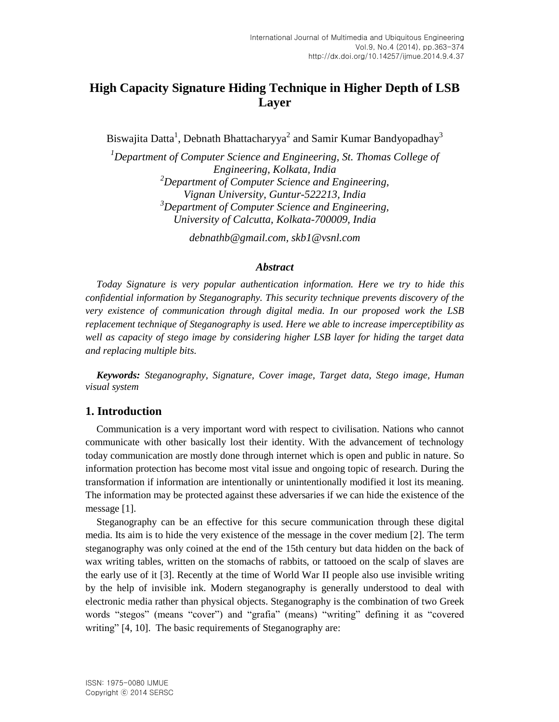# **High Capacity Signature Hiding Technique in Higher Depth of LSB Layer**

Biswajita Datta<sup>1</sup>, Debnath Bhattacharyya<sup>2</sup> and Samir Kumar Bandyopadhay<sup>3</sup>

*<sup>1</sup>Department of Computer Science and Engineering, St. Thomas College of Engineering, Kolkata, India <sup>2</sup>Department of Computer Science and Engineering, Vignan University, Guntur-522213, India <sup>3</sup>Department of Computer Science and Engineering, University of Calcutta, Kolkata-700009, India*

*debnathb@gmail.com, skb1@vsnl.com*

### *Abstract*

*Today Signature is very popular authentication information. Here we try to hide this confidential information by Steganography. This security technique prevents discovery of the very existence of communication through digital media. In our proposed work the LSB replacement technique of Steganography is used. Here we able to increase imperceptibility as well as capacity of stego image by considering higher LSB layer for hiding the target data and replacing multiple bits.*

*Keywords: Steganography, Signature, Cover image, Target data, Stego image, Human visual system*

# **1. Introduction**

Communication is a very important word with respect to civilisation. Nations who cannot communicate with other basically lost their identity. With the advancement of technology today communication are mostly done through internet which is open and public in nature. So information protection has become most vital issue and ongoing topic of research. During the transformation if information are intentionally or unintentionally modified it lost its meaning. The information may be protected against these adversaries if we can hide the existence of the message [1].

Steganography can be an effective for this secure communication through these digital media. Its aim is to hide the very existence of the message in the cover medium [2]. The term steganography was only coined at the end of the 15th century but data hidden on the back of wax writing tables, written on the stomachs of rabbits, or tattooed on the scalp of slaves are the early use of it [3]. Recently at the time of World War II people also use invisible writing by the help of invisible ink. Modern steganography is generally understood to deal with electronic media rather than physical objects. Steganography is the combination of two Greek words "stegos" (means "cover") and "grafia" (means) "writing" defining it as "covered writing" [4, 10]. The basic requirements of Steganography are: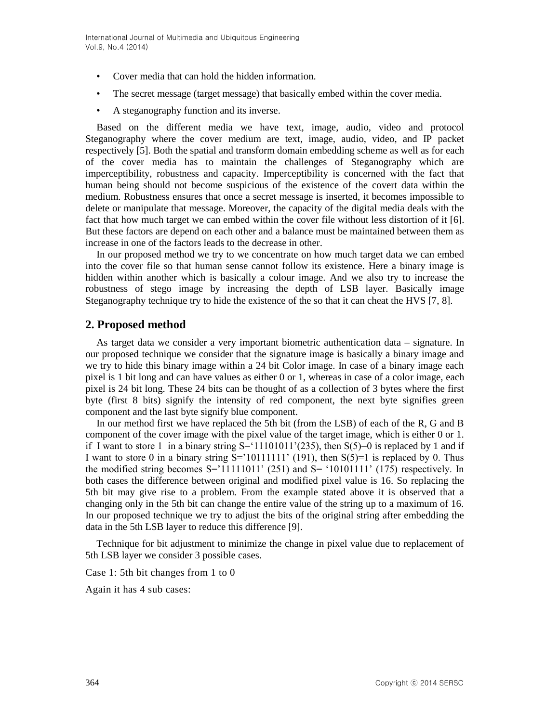- Cover media that can hold the hidden information.
- The secret message (target message) that basically embed within the cover media.
- A steganography function and its inverse.

Based on the different media we have text, image, audio, video and protocol Steganography where the cover medium are text, image, audio, video, and IP packet respectively [5]. Both the spatial and transform domain embedding scheme as well as for each of the cover media has to maintain the challenges of Steganography which are imperceptibility, robustness and capacity. Imperceptibility is concerned with the fact that human being should not become suspicious of the existence of the covert data within the medium. Robustness ensures that once a secret message is inserted, it becomes impossible to delete or manipulate that message. Moreover, the capacity of the digital media deals with the fact that how much target we can embed within the cover file without less distortion of it [6]. But these factors are depend on each other and a balance must be maintained between them as increase in one of the factors leads to the decrease in other.

In our proposed method we try to we concentrate on how much target data we can embed into the cover file so that human sense cannot follow its existence. Here a binary image is hidden within another which is basically a colour image. And we also try to increase the robustness of stego image by increasing the depth of LSB layer. Basically image Steganography technique try to hide the existence of the so that it can cheat the HVS [7, 8].

# **2. Proposed method**

As target data we consider a very important biometric authentication data – signature. In our proposed technique we consider that the signature image is basically a binary image and we try to hide this binary image within a 24 bit Color image. In case of a binary image each pixel is 1 bit long and can have values as either 0 or 1, whereas in case of a color image, each pixel is 24 bit long. These 24 bits can be thought of as a collection of 3 bytes where the first byte (first 8 bits) signify the intensity of red component, the next byte signifies green component and the last byte signify blue component.

In our method first we have replaced the 5th bit (from the LSB) of each of the R, G and B component of the cover image with the pixel value of the target image, which is either 0 or 1. if I want to store 1 in a binary string  $S = \{11101011' (235), \text{ then } S(5) = 0 \text{ is replaced by } 1 \text{ and if }$ I want to store 0 in a binary string  $S=$  10111111' (191), then  $S(5)=1$  is replaced by 0. Thus the modified string becomes  $S = 11111011'$  (251) and  $S = 110101111'$  (175) respectively. In both cases the difference between original and modified pixel value is 16. So replacing the 5th bit may give rise to a problem. From the example stated above it is observed that a changing only in the 5th bit can change the entire value of the string up to a maximum of 16. In our proposed technique we try to adjust the bits of the original string after embedding the data in the 5th LSB layer to reduce this difference [9].

Technique for bit adjustment to minimize the change in pixel value due to replacement of 5th LSB layer we consider 3 possible cases.

Case 1: 5th bit changes from 1 to 0

Again it has 4 sub cases: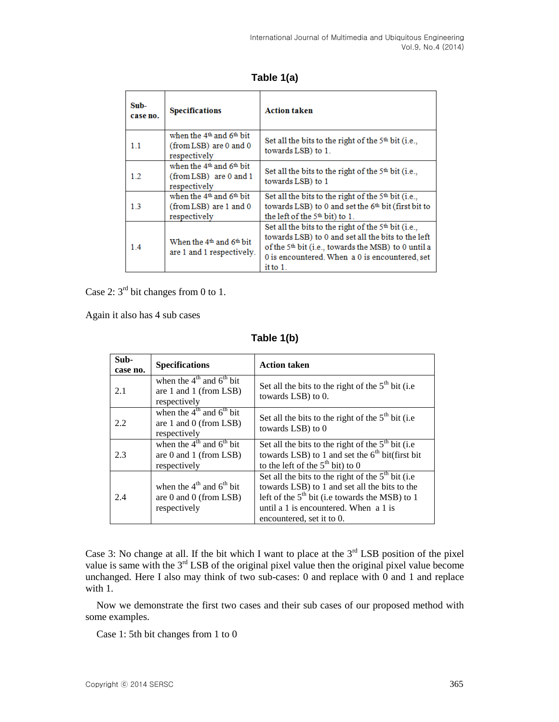**Table 1(a)**

| Sub-<br>case no. | <b>Specifications</b>                                                                      | <b>Action taken</b>                                                                                                                                                                                                                             |
|------------------|--------------------------------------------------------------------------------------------|-------------------------------------------------------------------------------------------------------------------------------------------------------------------------------------------------------------------------------------------------|
| 1.1              | when the 4 <sup>th</sup> and 6 <sup>th</sup> bit<br>(from LSB) are 0 and 0<br>respectively | Set all the bits to the right of the $5th$ bit (i.e.,<br>towards LSB) to 1.                                                                                                                                                                     |
| $1.2^{\circ}$    | when the 4 <sup>th</sup> and 6 <sup>th</sup> bit<br>(from LSB) are 0 and 1<br>respectively | Set all the bits to the right of the $5th$ bit (i.e.,<br>towards LSB) to 1                                                                                                                                                                      |
| 13               | when the 4 <sup>th</sup> and 6 <sup>th</sup> bit<br>(from LSB) are 1 and 0<br>respectively | Set all the bits to the right of the $5th$ bit (i.e.,<br>towards LSB) to 0 and set the 6 <sup>th</sup> bit (first bit to<br>the left of the $5th$ bit) to 1.                                                                                    |
| 1.4              | When the 4 <sup>th</sup> and 6 <sup>th</sup> bit<br>are 1 and 1 respectively.              | Set all the bits to the right of the $5th$ bit (i.e.,<br>towards LSB) to 0 and set all the bits to the left<br>of the 5 <sup>th</sup> bit (i.e., towards the MSB) to 0 until a<br>0 is encountered. When a 0 is encountered, set<br>it to $1$ . |

Case 2:  $3<sup>rd</sup>$  bit changes from 0 to 1.

Again it also has 4 sub cases

**Table 1(b)**

| Sub-<br>case no. | <b>Specifications</b>                                                                      | <b>Action taken</b>                                                                                                                                                                                                             |
|------------------|--------------------------------------------------------------------------------------------|---------------------------------------------------------------------------------------------------------------------------------------------------------------------------------------------------------------------------------|
| 2.1              | when the $4^{\text{th}}$ and $6^{\text{th}}$ bit<br>are 1 and 1 (from LSB)<br>respectively | Set all the bits to the right of the $5th$ bit (i.e.<br>towards LSB) to 0.                                                                                                                                                      |
| 2.2              | when the $4^{th}$ and $6^{th}$ bit<br>are 1 and 0 (from LSB)<br>respectively               | Set all the bits to the right of the $5th$ bit (i.e.<br>towards LSB) to 0                                                                                                                                                       |
| 2.3              | when the $4^{th}$ and $6^{th}$ bit<br>are 0 and 1 (from LSB)<br>respectively               | Set all the bits to the right of the $5th$ bit (i.e.<br>towards LSB) to 1 and set the $6th$ bit(first bit)<br>to the left of the $5th$ bit) to 0                                                                                |
| 2.4              | when the $4th$ and $6th$ bit<br>are $0$ and $0$ (from LSB)<br>respectively                 | Set all the bits to the right of the $5th$ bit (i.e.<br>towards LSB) to 1 and set all the bits to the<br>left of the $5th$ bit (i.e towards the MSB) to 1<br>until a 1 is encountered. When a 1 is<br>encountered, set it to 0. |

Case 3: No change at all. If the bit which I want to place at the  $3<sup>rd</sup>$  LSB position of the pixel value is same with the  $3<sup>rd</sup>$  LSB of the original pixel value then the original pixel value become unchanged. Here I also may think of two sub-cases: 0 and replace with  $\overline{0}$  and 1 and replace with 1.

Now we demonstrate the first two cases and their sub cases of our proposed method with some examples.

Case 1: 5th bit changes from 1 to 0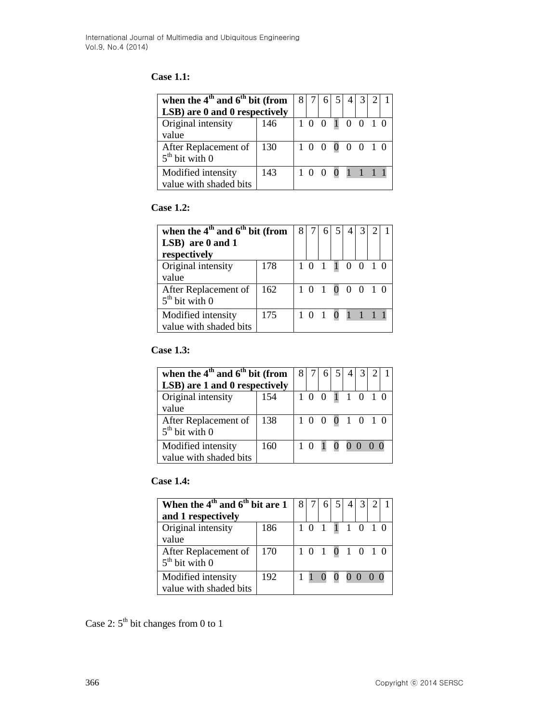# **Case 1.1:**

| when the $4th$ and $6th$ bit (from<br>LSB) are 0 and 0 respectively | 8   |  |                 | 3I |  |  |
|---------------------------------------------------------------------|-----|--|-----------------|----|--|--|
| Original intensity<br>value                                         | 146 |  | 1 0 0 1 0 0 1 0 |    |  |  |
| After Replacement of<br>$5th$ bit with 0                            | 130 |  | 1 0 0 0 0 0 1 0 |    |  |  |
| Modified intensity<br>value with shaded bits                        | 143 |  | 1 0 0 0 1 1 1 1 |    |  |  |

### **Case 1.2:**

| when the $4th$ and $6th$ bit (from<br>LSB) are 0 and 1<br>respectively | 8   |                 |                 |  |  |  |
|------------------------------------------------------------------------|-----|-----------------|-----------------|--|--|--|
| Original intensity<br>value                                            | 178 |                 | 1 0 1 1 0 0 1 0 |  |  |  |
| After Replacement of<br>$5th$ bit with 0                               | 162 |                 | 1 0 1 0 0 0 1 0 |  |  |  |
| Modified intensity<br>value with shaded bits                           |     | 1 0 1 0 1 1 1 1 |                 |  |  |  |

## **Case 1.3:**

| when the $4th$ and $6th$ bit (from<br>LSB) are 1 and 0 respectively | 8 7 |  |                 |  |  |  |
|---------------------------------------------------------------------|-----|--|-----------------|--|--|--|
| Original intensity<br>value                                         | 154 |  | 1 0 0 1 1 0 1 0 |  |  |  |
| After Replacement of<br>$5th$ bit with 0                            | 138 |  | 1 0 0 0 1 0 1 0 |  |  |  |
| Modified intensity<br>value with shaded bits                        | 160 |  | 1 0 1 0 0 0 0 0 |  |  |  |

# **Case 1.4:**

| When the $4th$ and $6th$ bit are 1 |     |  |                 |  |  |  |
|------------------------------------|-----|--|-----------------|--|--|--|
| and 1 respectively                 |     |  |                 |  |  |  |
| Original intensity                 | 186 |  | 1 0 1 1 1 0 1 0 |  |  |  |
| value                              |     |  |                 |  |  |  |
| After Replacement of               | 170 |  | 10101010        |  |  |  |
| $5th$ bit with 0                   |     |  |                 |  |  |  |
| Modified intensity                 | 192 |  | 1 1 0 0 0 0 0 0 |  |  |  |
| value with shaded bits             |     |  |                 |  |  |  |

Case 2:  $5^{\text{th}}$  bit changes from 0 to 1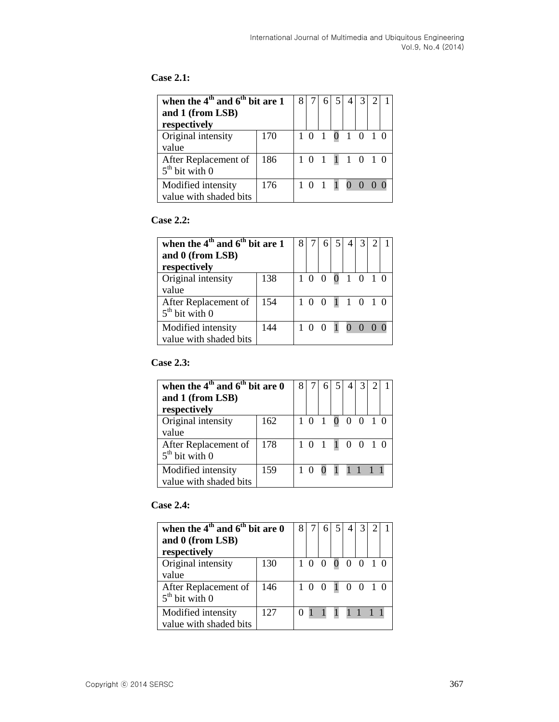# **Case 2.1:**

| when the $4th$ and $6th$ bit are 1<br>and 1 (from LSB)<br>respectively |                 |                 |  |  |  |
|------------------------------------------------------------------------|-----------------|-----------------|--|--|--|
| Original intensity<br>value                                            | 170             | 1 0 1 0 1 0 1 0 |  |  |  |
| After Replacement of<br>$5th$ bit with 0                               | 186             | 1 0 1 1 1 0 1 0 |  |  |  |
| Modified intensity<br>value with shaded bits                           | 1 0 1 1 0 0 0 0 |                 |  |  |  |

#### **Case 2.2:**

| when the $4th$ and $6th$ bit are 1<br>and 0 (from LSB)<br>respectively |     |  |                 |  |  |  |
|------------------------------------------------------------------------|-----|--|-----------------|--|--|--|
| Original intensity<br>value                                            | 138 |  | 1 0 0 0 1 0 1 0 |  |  |  |
| After Replacement of<br>$5th$ bit with 0                               | 154 |  | 1 0 0 1 1 0 1 0 |  |  |  |
| Modified intensity<br>value with shaded bits                           | 144 |  | 1 0 0 1 0 0 0 0 |  |  |  |

# **Case 2.3:**

| when the $4th$ and $6th$ bit are 0<br>and 1 (from LSB)<br>respectively |     |  |                 |             |  |  |
|------------------------------------------------------------------------|-----|--|-----------------|-------------|--|--|
| Original intensity<br>value                                            | 162 |  | 1 0 1 0 0 0 1 0 |             |  |  |
| After Replacement of<br>$5th$ bit with 0                               | 178 |  | 1 0 1 1 0 0 1 0 |             |  |  |
| Modified intensity<br>value with shaded bits                           | 159 |  |                 | 0 1 1 1 1 1 |  |  |

## **Case 2.4:**

| when the $4th$ and $6th$ bit are 0<br>and 0 (from LSB)<br>respectively |     |  |                 |  |  |  |
|------------------------------------------------------------------------|-----|--|-----------------|--|--|--|
| Original intensity<br>value                                            | 130 |  | 1 0 0 0 0 0 1 0 |  |  |  |
| After Replacement of<br>$5th$ bit with 0                               | 146 |  | 1 0 0 1 0 0 1 0 |  |  |  |
| Modified intensity<br>value with shaded bits                           | 127 |  | 0 1 1 1 1 1 1 1 |  |  |  |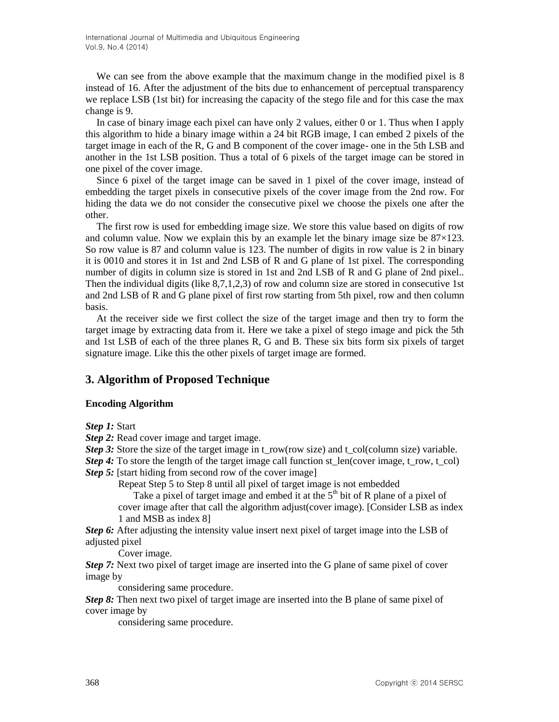We can see from the above example that the maximum change in the modified pixel is 8 instead of 16. After the adjustment of the bits due to enhancement of perceptual transparency we replace LSB (1st bit) for increasing the capacity of the stego file and for this case the max change is 9.

In case of binary image each pixel can have only 2 values, either 0 or 1. Thus when I apply this algorithm to hide a binary image within a 24 bit RGB image, I can embed 2 pixels of the target image in each of the R, G and B component of the cover image- one in the 5th LSB and another in the 1st LSB position. Thus a total of 6 pixels of the target image can be stored in one pixel of the cover image.

Since 6 pixel of the target image can be saved in 1 pixel of the cover image, instead of embedding the target pixels in consecutive pixels of the cover image from the 2nd row. For hiding the data we do not consider the consecutive pixel we choose the pixels one after the other.

The first row is used for embedding image size. We store this value based on digits of row and column value. Now we explain this by an example let the binary image size be  $87\times123$ . So row value is 87 and column value is 123. The number of digits in row value is 2 in binary it is 0010 and stores it in 1st and 2nd LSB of R and G plane of 1st pixel. The corresponding number of digits in column size is stored in 1st and 2nd LSB of R and G plane of 2nd pixel.. Then the individual digits (like 8,7,1,2,3) of row and column size are stored in consecutive 1st and 2nd LSB of R and G plane pixel of first row starting from 5th pixel, row and then column basis.

At the receiver side we first collect the size of the target image and then try to form the target image by extracting data from it. Here we take a pixel of stego image and pick the 5th and 1st LSB of each of the three planes R, G and B. These six bits form six pixels of target signature image. Like this the other pixels of target image are formed.

# **3. Algorithm of Proposed Technique**

### **Encoding Algorithm**

*Step 1:* Start

- *Step 2:* Read cover image and target image.
- *Step 3:* Store the size of the target image in t\_row(row size) and t\_col(column size) variable.
- *Step 4*: To store the length of the target image call function st\_len(cover image, t\_row, t\_col) *Step 5:* [start hiding from second row of the cover image]

Repeat Step 5 to Step 8 until all pixel of target image is not embedded

Take a pixel of target image and embed it at the  $5<sup>th</sup>$  bit of R plane of a pixel of cover image after that call the algorithm adjust(cover image). [Consider LSB as index 1 and MSB as index 8]

*Step 6:* After adjusting the intensity value insert next pixel of target image into the LSB of adjusted pixel

Cover image.

*Step 7:* Next two pixel of target image are inserted into the G plane of same pixel of cover image by

considering same procedure.

*Step 8:* Then next two pixel of target image are inserted into the B plane of same pixel of cover image by

considering same procedure.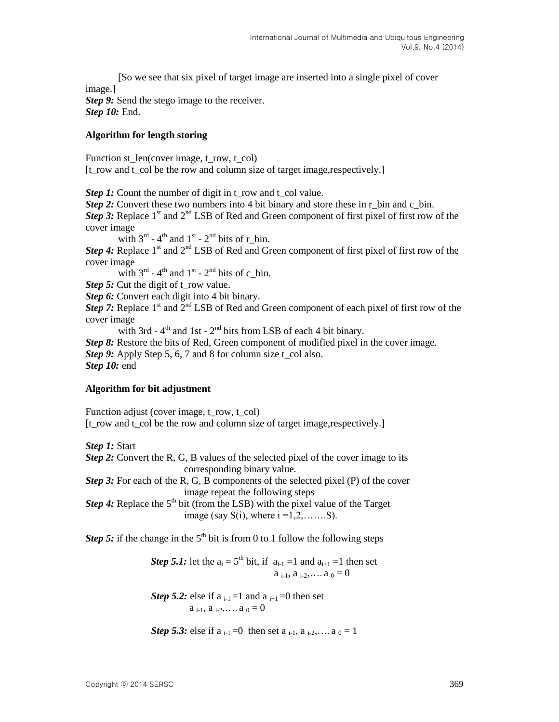[So we see that six pixel of target image are inserted into a single pixel of cover image.] **Step 9:** Send the stego image to the receiver.

*Step 10:* End.

#### **Algorithm for length storing**

Function st\_len(cover image, t\_row, t\_col) [t\_row and t\_col be the row and column size of target image,respectively.]

*Step 1:* Count the number of digit in t\_row and t\_col value.

*Step 2:* Convert these two numbers into 4 bit binary and store these in r\_bin and c\_bin.

*Step 3:* Replace 1<sup>st</sup> and 2<sup>nd</sup> LSB of Red and Green component of first pixel of first row of the cover image

with  $3^{rd}$  - 4<sup>th</sup> and  $1^{st}$  - 2<sup>nd</sup> bits of r\_bin.

**Step 4:** Replace 1<sup>st</sup> and 2<sup>nd</sup> LSB of Red and Green component of first pixel of first row of the cover image

with  $3^{rd}$  - 4<sup>th</sup> and  $1^{st}$  - 2<sup>nd</sup> bits of c\_bin.

*Step 5:* Cut the digit of t\_row value.

*Step 6:* Convert each digit into 4 bit binary.

*Step 7:* Replace  $1<sup>st</sup>$  and  $2<sup>nd</sup>$  LSB of Red and Green component of each pixel of first row of the cover image

with 3rd -  $4<sup>th</sup>$  and 1st -  $2<sup>nd</sup>$  bits from LSB of each 4 bit binary.

*Step 8:* Restore the bits of Red, Green component of modified pixel in the cover image. *Step 9:* Apply Step 5, 6, 7 and 8 for column size t col also. *Step 10:* end

### **Algorithm for bit adjustment**

Function adjust (cover image, t\_row, t\_col)

[t\_row and t\_col be the row and column size of target image,respectively.]

*Step 1:* Start

*Step 2:* Convert the R, G, B values of the selected pixel of the cover image to its corresponding binary value.

*Step 3:* For each of the R, G, B components of the selected pixel (P) of the cover image repeat the following steps

*Step 4:* Replace the  $5<sup>th</sup>$  bit (from the LSB) with the pixel value of the Target image (say  $S(i)$ , where  $i = 1, 2, \ldots, S$ ).

*Step 5:* if the change in the  $5<sup>th</sup>$  bit is from 0 to 1 follow the following steps

*Step 5.1:* let the  $a_i = 5$ <sup>th</sup> bit, if  $a_{i-1} = 1$  and  $a_{i+1} = 1$  then set  $a_{i-1}, a_{i-2}, \ldots, a_0 = 0$ 

*Step 5.2:* else if  $a_{i-1}=1$  and  $a_{i+1}=0$  then set  $a_{i-1}, a_{i-2}, \ldots, a_0 = 0$ 

*Step 5.3:* else if  $a_{i-1} = 0$  then set  $a_{i-1}$ ,  $a_{i-2}$ , ...  $a_0 = 1$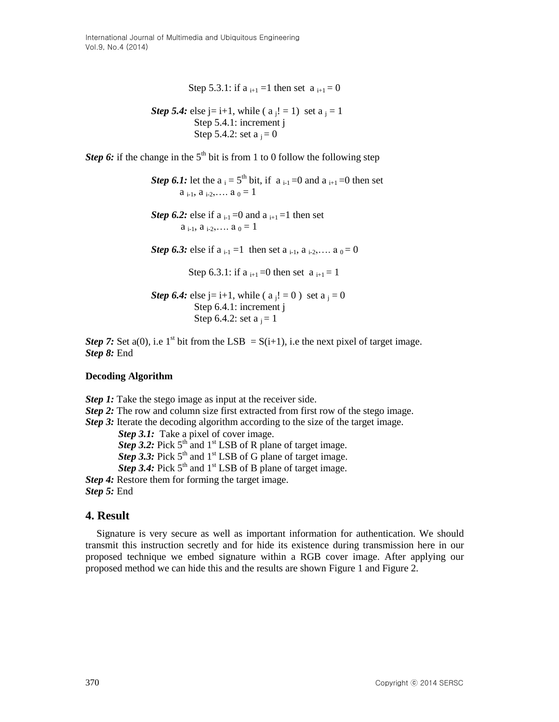Step 5.3.1: if  $a_{i+1} = 1$  then set  $a_{i+1} = 0$ 

*Step 5.4:* else j= i+1, while ( a j! = 1) set a <sup>j</sup> = 1 Step 5.4.1: increment j Step 5.4.2: set a j = 0

*Step 6:* if the change in the  $5<sup>th</sup>$  bit is from 1 to 0 follow the following step

*Step 6.1:* let the  $a_i = 5^{th}$  bit, if  $a_{i-1} = 0$  and  $a_{i+1} = 0$  then set  $a_{i-1}, a_{i-2}, \ldots, a_0 = 1$ 

*Step 6.2:* else if a  $_{i-1} = 0$  and a  $_{i+1} = 1$  then set  $a_{i-1}, a_{i-2}, \ldots, a_0 = 1$ 

**Step 6.3:** else if  $a_{i-1} = 1$  then set  $a_{i-1}$ ,  $a_{i-2}$ , ...  $a_0 = 0$ 

Step 6.3.1: if a  $_{i+1} = 0$  then set a  $_{i+1} = 1$ 

```
Step 6.4: else j= i+1, while (a_i! = 0) set a_i = 0 Step 6.4.1: increment j
Step 6.4.2: set a_i = 1
```
*Step 7:* Set a(0), i.e 1<sup>st</sup> bit from the LSB = S(i+1), i.e the next pixel of target image. *Step 8:* End

### **Decoding Algorithm**

*Step 1:* Take the stego image as input at the receiver side.

*Step 2:* The row and column size first extracted from first row of the stego image.

*Step 3:* Iterate the decoding algorithm according to the size of the target image.

*Step 3.1:* Take a pixel of cover image. **Step 3.2:** Pick  $5<sup>th</sup>$  and  $1<sup>st</sup>$  LSB of R plane of target image. **Step 3.3:** Pick  $5<sup>th</sup>$  and  $1<sup>st</sup>$  LSB of G plane of target image.

**Step 3.4:** Pick  $5<sup>th</sup>$  and  $1<sup>st</sup>$  LSB of B plane of target image.

*Step 4:* Restore them for forming the target image. *Step 5:* End

# **4. Result**

Signature is very secure as well as important information for authentication. We should transmit this instruction secretly and for hide its existence during transmission here in our proposed technique we embed signature within a RGB cover image. After applying our proposed method we can hide this and the results are shown Figure 1 and Figure 2.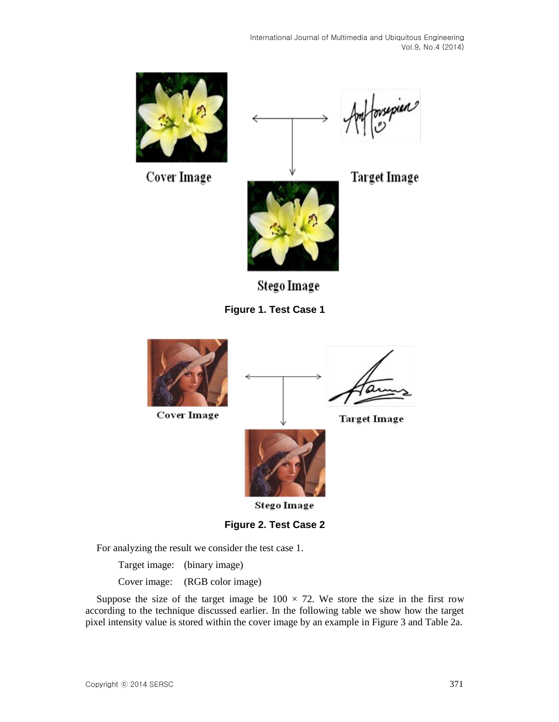

Cover Image







Stego Image





For analyzing the result we consider the test case 1.

Target image: (binary image)

Cover image: (RGB color image)

Suppose the size of the target image be  $100 \times 72$ . We store the size in the first row according to the technique discussed earlier. In the following table we show how the target pixel intensity value is stored within the cover image by an example in Figure 3 and Table 2a.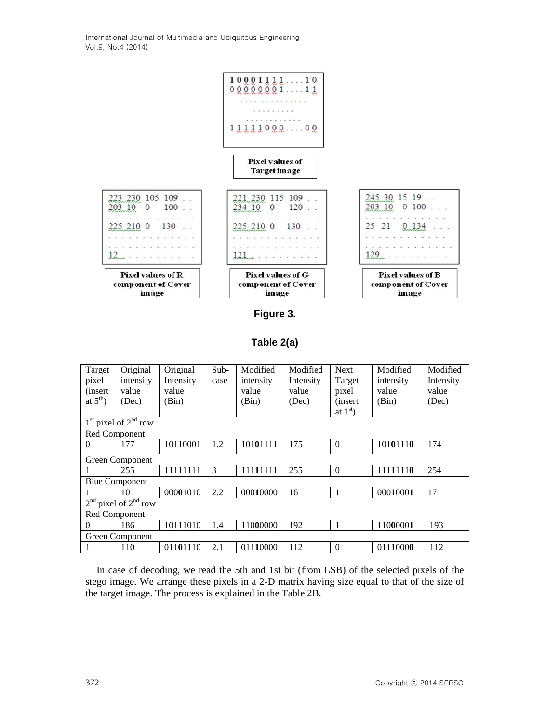International Journal of Multimedia and Ubiquitous Engineering Vol.9, No.4 (2014)



## **Figure 3.**

### **Table 2(a)**

| Target<br>pixel<br>(insert)<br>at $5^{\text{th}}$ ) | Original<br>intensity<br>value<br>(Dec) | Original<br>Intensity<br>value<br>(Bin) | Sub-<br>case | Modified<br>intensity<br>value<br>(Bin) | Modified<br>Intensity<br>value<br>(Dec) | <b>Next</b><br>Target<br>pixel<br><i>(insert)</i> | Modified<br>intensity<br>value<br>(Bin) | Modified<br>Intensity<br>value<br>(Dec) |
|-----------------------------------------------------|-----------------------------------------|-----------------------------------------|--------------|-----------------------------------------|-----------------------------------------|---------------------------------------------------|-----------------------------------------|-----------------------------------------|
|                                                     |                                         |                                         |              |                                         |                                         | at $1st$ )                                        |                                         |                                         |
|                                                     | $1st$ pixel of $2nd$ row                |                                         |              |                                         |                                         |                                                   |                                         |                                         |
| Red Component                                       |                                         |                                         |              |                                         |                                         |                                                   |                                         |                                         |
| $\theta$                                            | 177                                     | 10110001                                | 1.2          | 10101111                                | 175                                     | $\Omega$                                          | 10101110                                | 174                                     |
|                                                     | Green Component                         |                                         |              |                                         |                                         |                                                   |                                         |                                         |
|                                                     | 255                                     | 11111111                                | 3            | 11111111                                | 255                                     | $\Omega$                                          | 11111110                                | 254                                     |
|                                                     | <b>Blue Component</b>                   |                                         |              |                                         |                                         |                                                   |                                         |                                         |
|                                                     | 10                                      | 00001010                                | 2.2          | 00010000                                | 16                                      | 1                                                 | 00010001                                | 17                                      |
| 2 <sup>nd</sup>                                     | pixel of $2nd$ row                      |                                         |              |                                         |                                         |                                                   |                                         |                                         |
| Red Component                                       |                                         |                                         |              |                                         |                                         |                                                   |                                         |                                         |
| $\theta$                                            | 186                                     | 10111010                                | 1.4          | 11000000                                | 192                                     | 1                                                 | 11000001                                | 193                                     |
|                                                     | Green Component                         |                                         |              |                                         |                                         |                                                   |                                         |                                         |
|                                                     | 110                                     | 01101110                                | 2.1          | 01110000                                | 112                                     | $\Omega$                                          | 01110000                                | 112                                     |

In case of decoding, we read the 5th and 1st bit (from LSB) of the selected pixels of the stego image. We arrange these pixels in a 2-D matrix having size equal to that of the size of the target image. The process is explained in the Table 2B.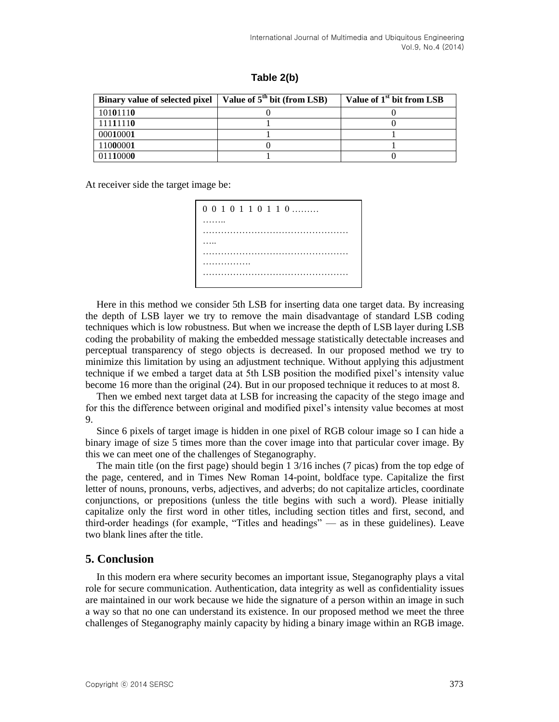**Table 2(b)**

| Binary value of selected pixel   Value of $5th$ bit (from LSB) | Value of 1 <sup>st</sup> bit from LSB |
|----------------------------------------------------------------|---------------------------------------|
| 10101110                                                       |                                       |
| 11111110                                                       |                                       |
| 00010001                                                       |                                       |
| 11000001                                                       |                                       |
| 01110000                                                       |                                       |

At receiver side the target image be:

| $0\; 0\; 1\; 0\; 1\; 1\; 0\; 1\; 1\; 0\; \ldots \ldots$ |
|---------------------------------------------------------|
|                                                         |
|                                                         |
|                                                         |
|                                                         |
|                                                         |
|                                                         |

Here in this method we consider 5th LSB for inserting data one target data. By increasing the depth of LSB layer we try to remove the main disadvantage of standard LSB coding techniques which is low robustness. But when we increase the depth of LSB layer during  $LS\overline{B}$ coding the probability of making the embedded message statistically detectable increases and perceptual transparency of stego objects is decreased. In our proposed method we try to minimize this limitation by using an adjustment technique. Without applying this adjustment technique if we embed a target data at 5th LSB position the modified pixel's intensity value become 16 more than the original (24). But in our proposed technique it reduces to at most 8.

Then we embed next target data at LSB for increasing the capacity of the stego image and for this the difference between original and modified pixel's intensity value becomes at most 9.

Since 6 pixels of target image is hidden in one pixel of RGB colour image so I can hide a binary image of size 5 times more than the cover image into that particular cover image. By this we can meet one of the challenges of Steganography.

The main title (on the first page) should begin 1 3/16 inches (7 picas) from the top edge of the page, centered, and in Times New Roman 14-point, boldface type. Capitalize the first letter of nouns, pronouns, verbs, adjectives, and adverbs; do not capitalize articles, coordinate conjunctions, or prepositions (unless the title begins with such a word). Please initially capitalize only the first word in other titles, including section titles and first, second, and third-order headings (for example, "Titles and headings" — as in these guidelines). Leave two blank lines after the title.

# **5. Conclusion**

In this modern era where security becomes an important issue, Steganography plays a vital role for secure communication. Authentication, data integrity as well as confidentiality issues are maintained in our work because we hide the signature of a person within an image in such a way so that no one can understand its existence. In our proposed method we meet the three challenges of Steganography mainly capacity by hiding a binary image within an RGB image.